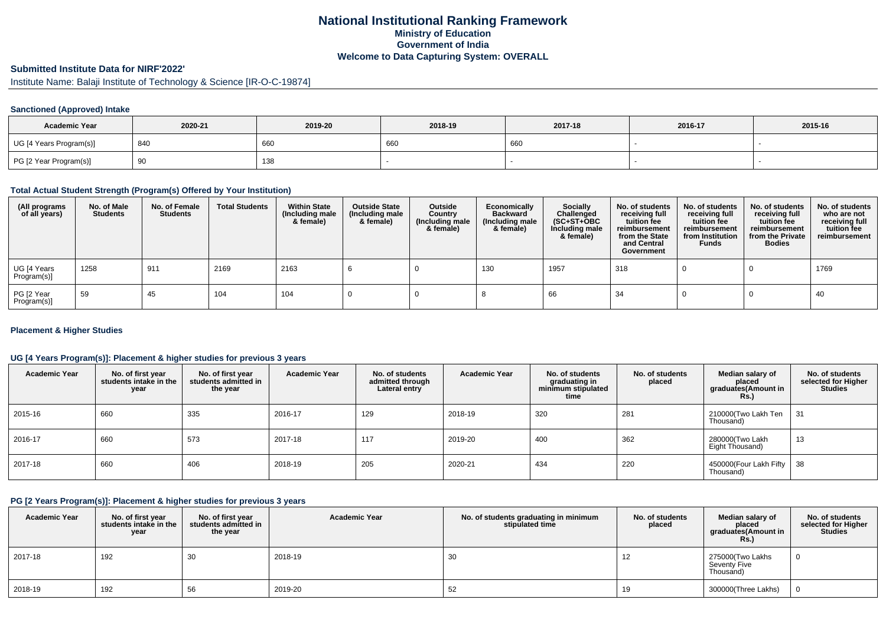## **National Institutional Ranking FrameworkMinistry of Education Government of IndiaWelcome to Data Capturing System: OVERALL**

# **Submitted Institute Data for NIRF'2022'**

Institute Name: Balaji Institute of Technology & Science [IR-O-C-19874]

#### **Sanctioned (Approved) Intake**

| <b>Academic Year</b>    | 2020-21 | 2019-20 | 2018-19 | 2017-18 | 2016-17 | 2015-16 |
|-------------------------|---------|---------|---------|---------|---------|---------|
| UG [4 Years Program(s)] | 840     | 660     | 660     | 660     |         |         |
| PG [2 Year Program(s)]  | ັບ      | 138     |         |         |         |         |

#### **Total Actual Student Strength (Program(s) Offered by Your Institution)**

| (All programs<br>of all years) | No. of Male<br><b>Students</b> | No. of Female<br><b>Students</b> | <b>Total Students</b> | <b>Within State</b><br>(Including male<br>& female) | <b>Outside State</b><br>(Including male<br>& female) | Outside<br>Country<br>(Including male<br>& female) | Economically<br><b>Backward</b><br>(Including male<br>& female) | Socially<br>Challenged<br>$(SC+ST+OBC)$<br>Including male<br>& female) | No. of students<br>receiving full<br>tuition fee<br>reimbursement<br>from the State<br>and Central<br>Government | No. of students<br>receiving full<br>tuition fee<br>reimbursement<br>from Institution<br><b>Funds</b> | No. of students<br>receiving full<br>tuition fee<br>reimbursement<br>from the Private<br><b>Bodies</b> | No. of students<br>who are not<br>receiving full<br>tuition fee<br>reimbursement |
|--------------------------------|--------------------------------|----------------------------------|-----------------------|-----------------------------------------------------|------------------------------------------------------|----------------------------------------------------|-----------------------------------------------------------------|------------------------------------------------------------------------|------------------------------------------------------------------------------------------------------------------|-------------------------------------------------------------------------------------------------------|--------------------------------------------------------------------------------------------------------|----------------------------------------------------------------------------------|
| UG [4 Years<br>Program(s)]     | 1258                           | 911                              | 2169                  | 2163                                                |                                                      |                                                    | 130                                                             | 1957                                                                   | 318                                                                                                              |                                                                                                       |                                                                                                        | 1769                                                                             |
| PG [2 Year<br>Program(s)]      | 59                             | 45                               | 104                   | 104                                                 |                                                      |                                                    |                                                                 | 66                                                                     | 34                                                                                                               |                                                                                                       |                                                                                                        | 40                                                                               |

#### **Placement & Higher Studies**

#### **UG [4 Years Program(s)]: Placement & higher studies for previous 3 years**

| <b>Academic Year</b> | No. of first year<br>students intake in the<br>year | No. of first vear<br>students admitted in<br>the year | <b>Academic Year</b> | No. of students<br>admitted through<br>Lateral entry | <b>Academic Year</b> | No. of students<br>graduating in<br>minimum stipulated<br>time | No. of students<br>placed | Median salary of<br>placed<br>graduates(Amount in<br>Rs.) | No. of students<br>selected for Higher<br><b>Studies</b> |
|----------------------|-----------------------------------------------------|-------------------------------------------------------|----------------------|------------------------------------------------------|----------------------|----------------------------------------------------------------|---------------------------|-----------------------------------------------------------|----------------------------------------------------------|
| 2015-16              | 660                                                 | 335                                                   | 2016-17              | 129                                                  | 2018-19              | 320                                                            | 281                       | 210000(Two Lakh Ten<br>Thousand)                          | 31                                                       |
| 2016-17              | 660                                                 | 573                                                   | 2017-18              | 117                                                  | 2019-20              | 400                                                            | 362                       | 280000(Two Lakh<br>Eight Thousand)                        | 13                                                       |
| 2017-18              | 660                                                 | 406                                                   | 2018-19              | 205                                                  | 2020-21              | 434                                                            | 220                       | 450000(Four Lakh Fifty<br>Thousand)                       | , 38                                                     |

#### **PG [2 Years Program(s)]: Placement & higher studies for previous 3 years**

| <b>Academic Year</b> | No. of first year<br>students intake in the<br>year | No. of first year<br>students admitted in<br>the year | <b>Academic Year</b> | No. of students graduating in minimum<br>stipulated time | No. of students<br>placed | Median salary of<br>placed<br>graduates(Amount in<br>Rs. | No. of students<br>selected for Higher<br><b>Studies</b> |
|----------------------|-----------------------------------------------------|-------------------------------------------------------|----------------------|----------------------------------------------------------|---------------------------|----------------------------------------------------------|----------------------------------------------------------|
| 2017-18              | 192                                                 | 30                                                    | 2018-19              | 30                                                       | 12                        | 275000(Two Lakhs<br>Seventy Five<br>Thousand)            |                                                          |
| 2018-19              | 192                                                 | 56                                                    | 2019-20              | 52                                                       | 19                        | 300000(Three Lakhs)                                      |                                                          |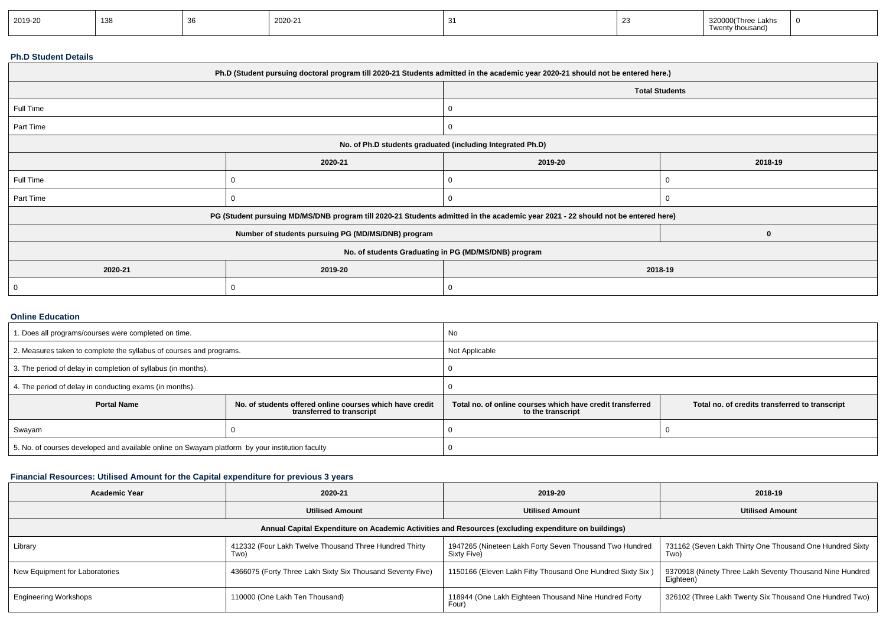| 2019-20 | 138 |  | n.<br>$1/11-$ |  |  | 'Three Lakhs<br>.∩ousand) | - 61 |
|---------|-----|--|---------------|--|--|---------------------------|------|
|---------|-----|--|---------------|--|--|---------------------------|------|

#### **Ph.D Student Details**

| Ph.D (Student pursuing doctoral program till 2020-21 Students admitted in the academic year 2020-21 should not be entered here.) |                                                                                                                                  |                                                            |                       |  |  |  |
|----------------------------------------------------------------------------------------------------------------------------------|----------------------------------------------------------------------------------------------------------------------------------|------------------------------------------------------------|-----------------------|--|--|--|
|                                                                                                                                  |                                                                                                                                  |                                                            | <b>Total Students</b> |  |  |  |
| Full Time                                                                                                                        |                                                                                                                                  | 0                                                          |                       |  |  |  |
| Part Time                                                                                                                        |                                                                                                                                  | 0                                                          |                       |  |  |  |
|                                                                                                                                  |                                                                                                                                  | No. of Ph.D students graduated (including Integrated Ph.D) |                       |  |  |  |
|                                                                                                                                  | 2020-21                                                                                                                          | 2019-20<br>2018-19                                         |                       |  |  |  |
| Full Time                                                                                                                        |                                                                                                                                  | 0                                                          |                       |  |  |  |
| Part Time                                                                                                                        |                                                                                                                                  | 0                                                          |                       |  |  |  |
|                                                                                                                                  | PG (Student pursuing MD/MS/DNB program till 2020-21 Students admitted in the academic year 2021 - 22 should not be entered here) |                                                            |                       |  |  |  |
|                                                                                                                                  | Number of students pursuing PG (MD/MS/DNB) program                                                                               |                                                            | 0                     |  |  |  |
| No. of students Graduating in PG (MD/MS/DNB) program                                                                             |                                                                                                                                  |                                                            |                       |  |  |  |
| 2020-21                                                                                                                          | 2019-20                                                                                                                          | 2018-19                                                    |                       |  |  |  |
|                                                                                                                                  |                                                                                                                                  | 0                                                          |                       |  |  |  |

#### **Online Education**

| 1. Does all programs/courses were completed on time.                                            |                                                                                       | No                                                                                                                               |  |  |
|-------------------------------------------------------------------------------------------------|---------------------------------------------------------------------------------------|----------------------------------------------------------------------------------------------------------------------------------|--|--|
| 2. Measures taken to complete the syllabus of courses and programs.                             |                                                                                       | Not Applicable                                                                                                                   |  |  |
| 3. The period of delay in completion of syllabus (in months).                                   |                                                                                       |                                                                                                                                  |  |  |
| 4. The period of delay in conducting exams (in months).                                         |                                                                                       |                                                                                                                                  |  |  |
| <b>Portal Name</b>                                                                              | No. of students offered online courses which have credit<br>transferred to transcript | Total no, of online courses which have credit transferred<br>Total no. of credits transferred to transcript<br>to the transcript |  |  |
| Swayam                                                                                          |                                                                                       |                                                                                                                                  |  |  |
| 5. No. of courses developed and available online on Swayam platform by your institution faculty |                                                                                       |                                                                                                                                  |  |  |

## **Financial Resources: Utilised Amount for the Capital expenditure for previous 3 years**

| <b>Academic Year</b>                                                                                 | 2020-21                                                        | 2019-20                                                                | 2018-19                                                               |  |  |  |  |  |  |
|------------------------------------------------------------------------------------------------------|----------------------------------------------------------------|------------------------------------------------------------------------|-----------------------------------------------------------------------|--|--|--|--|--|--|
|                                                                                                      | <b>Utilised Amount</b>                                         | <b>Utilised Amount</b>                                                 | <b>Utilised Amount</b>                                                |  |  |  |  |  |  |
| Annual Capital Expenditure on Academic Activities and Resources (excluding expenditure on buildings) |                                                                |                                                                        |                                                                       |  |  |  |  |  |  |
| Library                                                                                              | 412332 (Four Lakh Twelve Thousand Three Hundred Thirty<br>Two) | 1947265 (Nineteen Lakh Forty Seven Thousand Two Hundred<br>Sixty Five) | 731162 (Seven Lakh Thirty One Thousand One Hundred Sixty<br>Two)      |  |  |  |  |  |  |
| New Equipment for Laboratories                                                                       | 4366075 (Forty Three Lakh Sixty Six Thousand Seventy Five)     | 1150166 (Eleven Lakh Fifty Thousand One Hundred Sixty Six)             | 9370918 (Ninety Three Lakh Seventy Thousand Nine Hundred<br>Eighteen) |  |  |  |  |  |  |
| <b>Engineering Workshops</b>                                                                         | 110000 (One Lakh Ten Thousand)                                 | 118944 (One Lakh Eighteen Thousand Nine Hundred Forty<br>Four)         | 326102 (Three Lakh Twenty Six Thousand One Hundred Two)               |  |  |  |  |  |  |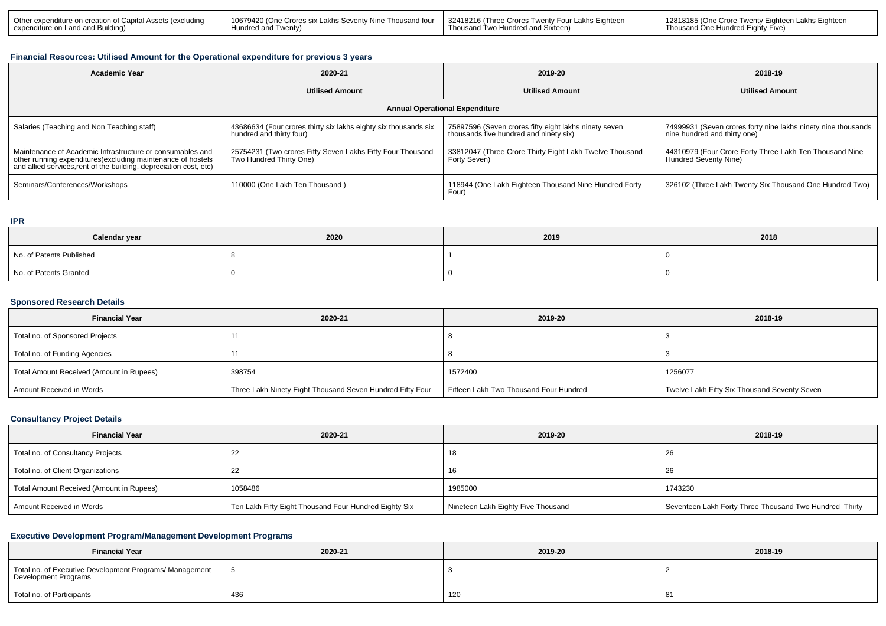| 10679420 (One Crores six Lakhs Seventy Nine Thousand four 132418216 (Three Crores Twenty Four Lakhs Eighteen 1<br>  Other expenditure on creation of Capital Assets (excluding<br>expenditure on Land and Building)<br>Hundred and Twenty) | Thousand Two Hundred and Sixteen) | 12818185 (One Crore Twenty Eighteen Lakhs Eighteen<br>Thousand One Hundred Eighty Five) |
|--------------------------------------------------------------------------------------------------------------------------------------------------------------------------------------------------------------------------------------------|-----------------------------------|-----------------------------------------------------------------------------------------|
|--------------------------------------------------------------------------------------------------------------------------------------------------------------------------------------------------------------------------------------------|-----------------------------------|-----------------------------------------------------------------------------------------|

#### **Financial Resources: Utilised Amount for the Operational expenditure for previous 3 years**

| <b>Academic Year</b>                                                                                                                                                                            | 2020-21                                                                                     | 2019-20                                                                                         | 2018-19                                                                                       |  |  |  |  |  |
|-------------------------------------------------------------------------------------------------------------------------------------------------------------------------------------------------|---------------------------------------------------------------------------------------------|-------------------------------------------------------------------------------------------------|-----------------------------------------------------------------------------------------------|--|--|--|--|--|
|                                                                                                                                                                                                 | <b>Utilised Amount</b>                                                                      | <b>Utilised Amount</b>                                                                          | <b>Utilised Amount</b>                                                                        |  |  |  |  |  |
| <b>Annual Operational Expenditure</b>                                                                                                                                                           |                                                                                             |                                                                                                 |                                                                                               |  |  |  |  |  |
| Salaries (Teaching and Non Teaching staff)                                                                                                                                                      | 43686634 (Four crores thirty six lakhs eighty six thousands six<br>hundred and thirty four) | 75897596 (Seven crores fifty eight lakhs ninety seven<br>thousands five hundred and ninety six) | 74999931 (Seven crores forty nine lakhs ninety nine thousands<br>nine hundred and thirty one) |  |  |  |  |  |
| Maintenance of Academic Infrastructure or consumables and<br>other running expenditures (excluding maintenance of hostels<br>and allied services, rent of the building, depreciation cost, etc) | 25754231 (Two crores Fifty Seven Lakhs Fifty Four Thousand<br>Two Hundred Thirty One)       | 33812047 (Three Crore Thirty Eight Lakh Twelve Thousand<br>Forty Seven)                         | 44310979 (Four Crore Forty Three Lakh Ten Thousand Nine<br>Hundred Seventy Nine)              |  |  |  |  |  |
| Seminars/Conferences/Workshops                                                                                                                                                                  | 110000 (One Lakh Ten Thousand)                                                              | 118944 (One Lakh Eighteen Thousand Nine Hundred Forty<br>Four)                                  | 326102 (Three Lakh Twenty Six Thousand One Hundred Two)                                       |  |  |  |  |  |

#### **IPR**

| Calendar year            | 2020 | 2019 | 2018 |
|--------------------------|------|------|------|
| No. of Patents Published |      |      |      |
| No. of Patents Granted   |      |      |      |

#### **Sponsored Research Details**

| <b>Financial Year</b>                    | 2020-21                                                   | 2019-20                                | 2018-19                                      |
|------------------------------------------|-----------------------------------------------------------|----------------------------------------|----------------------------------------------|
| Total no. of Sponsored Projects          |                                                           |                                        |                                              |
| Total no. of Funding Agencies            |                                                           |                                        |                                              |
| Total Amount Received (Amount in Rupees) | 398754                                                    | 1572400                                | 1256077                                      |
| Amount Received in Words                 | Three Lakh Ninety Eight Thousand Seven Hundred Fifty Four | Fifteen Lakh Two Thousand Four Hundred | Twelve Lakh Fifty Six Thousand Seventy Seven |

#### **Consultancy Project Details**

| <b>Financial Year</b>                    | 2020-21                                               | 2019-20                            | 2018-19                                                |
|------------------------------------------|-------------------------------------------------------|------------------------------------|--------------------------------------------------------|
| Total no. of Consultancy Projects        |                                                       | 18                                 | -26                                                    |
| Total no. of Client Organizations        |                                                       | 16                                 | 26                                                     |
| Total Amount Received (Amount in Rupees) | 1058486                                               | 1985000                            | 1743230                                                |
| Amount Received in Words                 | Ten Lakh Fifty Eight Thousand Four Hundred Eighty Six | Nineteen Lakh Eighty Five Thousand | Seventeen Lakh Forty Three Thousand Two Hundred Thirty |

## **Executive Development Program/Management Development Programs**

| <b>Financial Year</b>                                                           | 2020-21 | 2019-20 | 2018-19 |
|---------------------------------------------------------------------------------|---------|---------|---------|
| Total no. of Executive Development Programs/ Management<br>Development Programs |         |         |         |
| Total no. of Participants                                                       | 436     | 120     | -81     |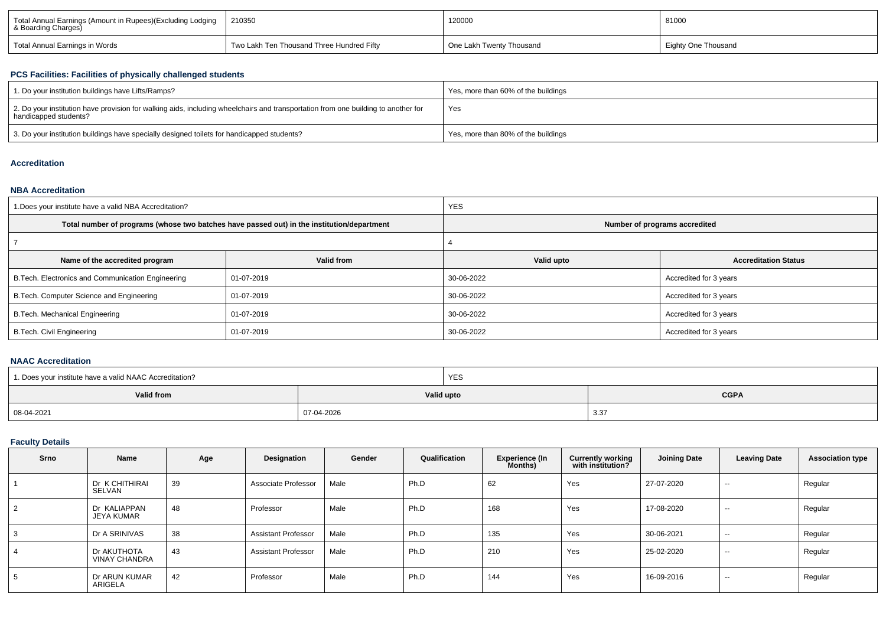| Total Annual Earnings (Amount in Rupees)(Excluding Lodging   8 Boarding Charges) | 210350                                    | 120000                   | 81000                      |  |
|----------------------------------------------------------------------------------|-------------------------------------------|--------------------------|----------------------------|--|
| Total Annual Earnings in Words                                                   | Two Lakh Ten Thousand Three Hundred Fifty | One Lakh Twenty Thousand | <b>Eighty One Thousand</b> |  |

### **PCS Facilities: Facilities of physically challenged students**

| 1. Do your institution buildings have Lifts/Ramps?                                                                                                         | Yes, more than 60% of the buildings |
|------------------------------------------------------------------------------------------------------------------------------------------------------------|-------------------------------------|
| 2. Do your institution have provision for walking aids, including wheelchairs and transportation from one building to another for<br>handicapped students? | Yes                                 |
| 3. Do your institution buildings have specially designed toilets for handicapped students?                                                                 | Yes, more than 80% of the buildings |

## **Accreditation**

#### **NBA Accreditation**

| 1. Does your institute have a valid NBA Accreditation? |                                                                                            | <b>YES</b>                    |                             |  |  |  |
|--------------------------------------------------------|--------------------------------------------------------------------------------------------|-------------------------------|-----------------------------|--|--|--|
|                                                        | Total number of programs (whose two batches have passed out) in the institution/department | Number of programs accredited |                             |  |  |  |
|                                                        |                                                                                            |                               |                             |  |  |  |
| Name of the accredited program                         | Valid from                                                                                 | Valid upto                    | <b>Accreditation Status</b> |  |  |  |
| B. Tech. Electronics and Communication Engineering     | 01-07-2019                                                                                 | 30-06-2022                    | Accredited for 3 years      |  |  |  |
| B.Tech. Computer Science and Engineering               | 01-07-2019                                                                                 | 30-06-2022                    | Accredited for 3 years      |  |  |  |
| B.Tech. Mechanical Engineering                         | 01-07-2019                                                                                 | 30-06-2022                    | Accredited for 3 years      |  |  |  |
| <b>B.Tech. Civil Engineering</b>                       | 01-07-2019                                                                                 | 30-06-2022                    | Accredited for 3 years      |  |  |  |

### **NAAC Accreditation**

| 1. Does your institute have a valid NAAC Accreditation? |            | YES        |             |  |  |
|---------------------------------------------------------|------------|------------|-------------|--|--|
| Valid from                                              |            | Valid upto | <b>CGPA</b> |  |  |
| 08-04-2021                                              | 07-04-2026 |            | 3.37        |  |  |

## **Faculty Details**

| Srno           | Name                                | Age | Designation                | Gender | Qualification | <b>Experience (In</b><br><b>Months)</b> | <b>Currently working</b><br>with institution? | <b>Joining Date</b> | <b>Leaving Date</b> | <b>Association type</b> |
|----------------|-------------------------------------|-----|----------------------------|--------|---------------|-----------------------------------------|-----------------------------------------------|---------------------|---------------------|-------------------------|
|                | Dr K CHITHIRAI<br>SELVAN            | 39  | Associate Professor        | Male   | Ph.D          | 62                                      | Yes                                           | 27-07-2020          | $\sim$              | Regular                 |
| $\overline{2}$ | Dr KALIAPPAN<br><b>JEYA KUMAR</b>   | 48  | Professor                  | Male   | Ph.D          | 168                                     | Yes                                           | 17-08-2020          | $\sim$              | Regular                 |
| 3              | Dr A SRINIVAS                       | 38  | <b>Assistant Professor</b> | Male   | Ph.D          | 135                                     | Yes                                           | 30-06-2021          | $\sim$              | Regular                 |
| 4              | Dr AKUTHOTA<br><b>VINAY CHANDRA</b> | 43  | <b>Assistant Professor</b> | Male   | Ph.D          | 210                                     | Yes                                           | 25-02-2020          | $- -$               | Regular                 |
| 5              | Dr ARUN KUMAR<br>ARIGELA            | 42  | Professor                  | Male   | Ph.D          | 144                                     | Yes                                           | 16-09-2016          | $\sim$              | Regular                 |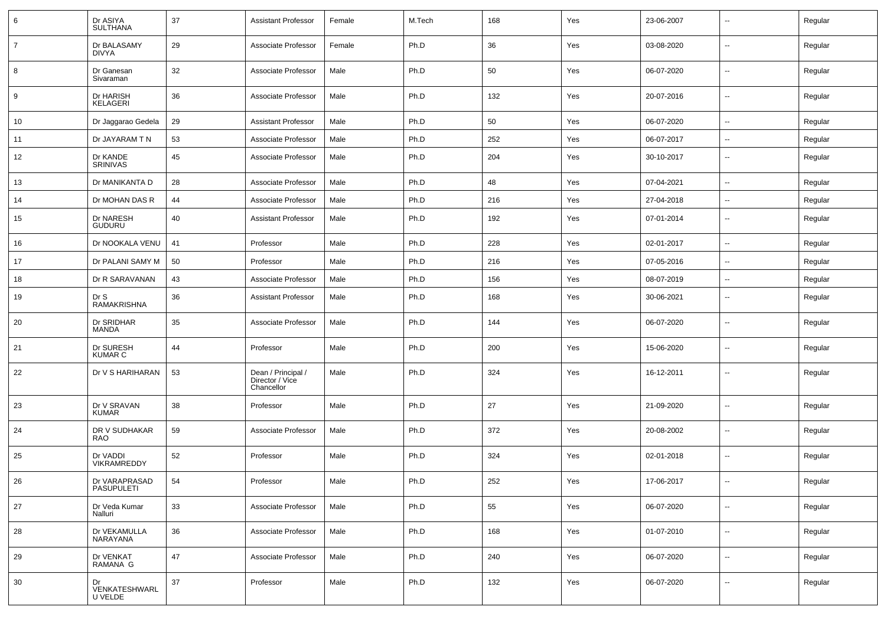| 6              | Dr ASIYA<br><b>SULTHANA</b>        | 37 | Assistant Professor                                 | Female | M.Tech | 168 | Yes | 23-06-2007 | $\sim$                   | Regular |
|----------------|------------------------------------|----|-----------------------------------------------------|--------|--------|-----|-----|------------|--------------------------|---------|
| $\overline{7}$ | Dr BALASAMY<br><b>DIVYA</b>        | 29 | Associate Professor                                 | Female | Ph.D   | 36  | Yes | 03-08-2020 | $\overline{\phantom{a}}$ | Regular |
| 8              | Dr Ganesan<br>Sivaraman            | 32 | Associate Professor                                 | Male   | Ph.D   | 50  | Yes | 06-07-2020 | $\sim$                   | Regular |
| 9              | Dr HARISH<br>KELAGERI              | 36 | Associate Professor                                 | Male   | Ph.D   | 132 | Yes | 20-07-2016 | $\overline{\phantom{a}}$ | Regular |
| 10             | Dr Jaggarao Gedela                 | 29 | <b>Assistant Professor</b>                          | Male   | Ph.D   | 50  | Yes | 06-07-2020 | $\sim$                   | Regular |
| 11             | Dr JAYARAM T N                     | 53 | Associate Professor                                 | Male   | Ph.D   | 252 | Yes | 06-07-2017 | $\mathbf{u}$             | Regular |
| 12             | Dr KANDE<br><b>SRINIVAS</b>        | 45 | Associate Professor                                 | Male   | Ph.D   | 204 | Yes | 30-10-2017 | --                       | Regular |
| 13             | Dr MANIKANTA D                     | 28 | Associate Professor                                 | Male   | Ph.D   | 48  | Yes | 07-04-2021 | $\overline{\phantom{a}}$ | Regular |
| 14             | Dr MOHAN DAS R                     | 44 | Associate Professor                                 | Male   | Ph.D   | 216 | Yes | 27-04-2018 | $\overline{\phantom{a}}$ | Regular |
| 15             | Dr NARESH<br><b>GUDURU</b>         | 40 | <b>Assistant Professor</b>                          | Male   | Ph.D   | 192 | Yes | 07-01-2014 | $\overline{\phantom{a}}$ | Regular |
| 16             | Dr NOOKALA VENU                    | 41 | Professor                                           | Male   | Ph.D   | 228 | Yes | 02-01-2017 | $\sim$                   | Regular |
| 17             | Dr PALANI SAMY M                   | 50 | Professor                                           | Male   | Ph.D   | 216 | Yes | 07-05-2016 | $\sim$                   | Regular |
| 18             | Dr R SARAVANAN                     | 43 | Associate Professor                                 | Male   | Ph.D   | 156 | Yes | 08-07-2019 | ⊷.                       | Regular |
| 19             | Dr S<br><b>RAMAKRISHNA</b>         | 36 | <b>Assistant Professor</b>                          | Male   | Ph.D   | 168 | Yes | 30-06-2021 | Ξ.                       | Regular |
| 20             | Dr SRIDHAR<br><b>MANDA</b>         | 35 | Associate Professor                                 | Male   | Ph.D   | 144 | Yes | 06-07-2020 | $\sim$                   | Regular |
| 21             | Dr SURESH<br><b>KUMAR C</b>        | 44 | Professor                                           | Male   | Ph.D   | 200 | Yes | 15-06-2020 | $\sim$                   | Regular |
| 22             | Dr V S HARIHARAN                   | 53 | Dean / Principal /<br>Director / Vice<br>Chancellor | Male   | Ph.D   | 324 | Yes | 16-12-2011 | $\sim$                   | Regular |
| 23             | Dr V SRAVAN<br><b>KUMAR</b>        | 38 | Professor                                           | Male   | Ph.D   | 27  | Yes | 21-09-2020 | $\overline{\phantom{a}}$ | Regular |
| 24             | DR V SUDHAKAR<br>RAO               | 59 | Associate Professor                                 | Male   | Ph.D   | 372 | Yes | 20-08-2002 | $\overline{\phantom{a}}$ | Regular |
| 25             | Dr VADDI<br><b>VIKRAMREDDY</b>     | 52 | Professor                                           | Male   | Ph.D   | 324 | Yes | 02-01-2018 | $\sim$                   | Regular |
| 26             | Dr VARAPRASAD<br><b>PASUPULETI</b> | 54 | Professor                                           | Male   | Ph.D   | 252 | Yes | 17-06-2017 | $\overline{\phantom{a}}$ | Regular |
| 27             | Dr Veda Kumar<br>Nalluri           | 33 | Associate Professor                                 | Male   | Ph.D   | 55  | Yes | 06-07-2020 | $\sim$                   | Regular |
| 28             | Dr VEKAMULLA<br>NARAYANA           | 36 | Associate Professor                                 | Male   | Ph.D   | 168 | Yes | 01-07-2010 | $\overline{\phantom{a}}$ | Regular |
| 29             | Dr VENKAT<br>RAMANA G              | 47 | Associate Professor                                 | Male   | Ph.D   | 240 | Yes | 06-07-2020 | $\sim$                   | Regular |
| 30             | Dr<br>VENKATESHWARL<br>U VELDE     | 37 | Professor                                           | Male   | Ph.D   | 132 | Yes | 06-07-2020 | $\overline{\phantom{a}}$ | Regular |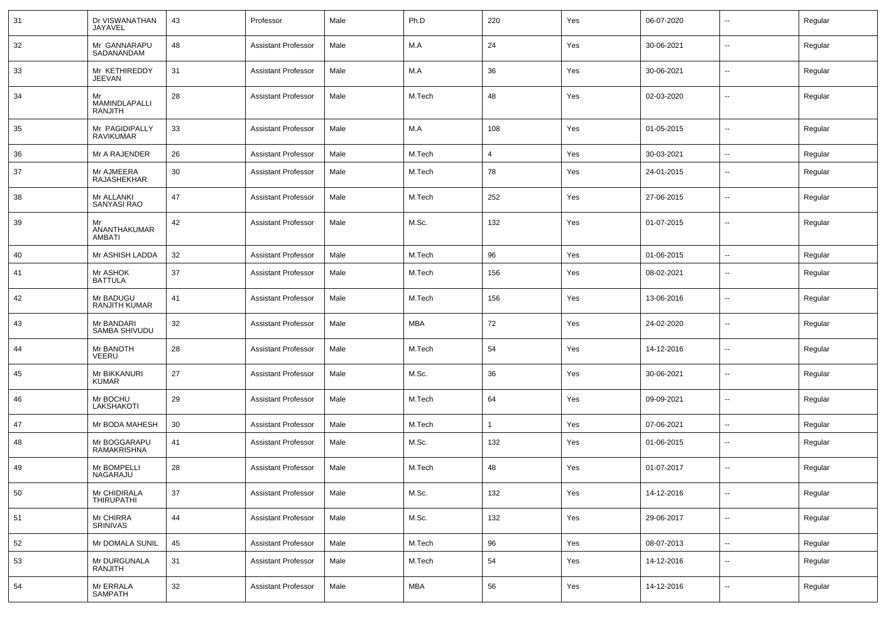| 31 | Dr VISWANATHAN<br>JAYAVEL             | 43 | Professor                  | Male | Ph.D       | 220          | Yes | 06-07-2020 | $\overline{\phantom{a}}$ | Regular |
|----|---------------------------------------|----|----------------------------|------|------------|--------------|-----|------------|--------------------------|---------|
| 32 | Mr GANNARAPU<br>SADANANDAM            | 48 | <b>Assistant Professor</b> | Male | M.A        | 24           | Yes | 30-06-2021 | $\overline{\phantom{a}}$ | Regular |
| 33 | Mr KETHIREDDY<br><b>JEEVAN</b>        | 31 | <b>Assistant Professor</b> | Male | M.A        | 36           | Yes | 30-06-2021 | $\overline{\phantom{a}}$ | Regular |
| 34 | Mr<br>MAMINDLAPALLI<br><b>RANJITH</b> | 28 | <b>Assistant Professor</b> | Male | M.Tech     | 48           | Yes | 02-03-2020 | $\sim$                   | Regular |
| 35 | Mr PAGIDIPALLY<br><b>RAVIKUMAR</b>    | 33 | <b>Assistant Professor</b> | Male | M.A        | 108          | Yes | 01-05-2015 | $\sim$                   | Regular |
| 36 | Mr A RAJENDER                         | 26 | <b>Assistant Professor</b> | Male | M.Tech     | 4            | Yes | 30-03-2021 | $\overline{\phantom{a}}$ | Regular |
| 37 | Mr AJMEERA<br>RAJASHEKHAR             | 30 | <b>Assistant Professor</b> | Male | M.Tech     | 78           | Yes | 24-01-2015 | $\overline{\phantom{a}}$ | Regular |
| 38 | Mr ALLANKI<br>SANYASI RAO             | 47 | <b>Assistant Professor</b> | Male | M.Tech     | 252          | Yes | 27-06-2015 | $\sim$                   | Regular |
| 39 | Mr<br>ANANTHAKUMAR<br>AMBATI          | 42 | <b>Assistant Professor</b> | Male | M.Sc.      | 132          | Yes | 01-07-2015 | $\overline{\phantom{a}}$ | Regular |
| 40 | Mr ASHISH LADDA                       | 32 | <b>Assistant Professor</b> | Male | M.Tech     | 96           | Yes | 01-06-2015 | $\overline{\phantom{a}}$ | Regular |
| 41 | Mr ASHOK<br><b>BATTULA</b>            | 37 | <b>Assistant Professor</b> | Male | M.Tech     | 156          | Yes | 08-02-2021 | $\overline{\phantom{a}}$ | Regular |
| 42 | Mr BADUGU<br><b>RANJITH KUMAR</b>     | 41 | <b>Assistant Professor</b> | Male | M.Tech     | 156          | Yes | 13-06-2016 | $\sim$                   | Regular |
| 43 | Mr BANDARI<br>SAMBA SHIVUDU           | 32 | <b>Assistant Professor</b> | Male | <b>MBA</b> | 72           | Yes | 24-02-2020 | $\overline{\phantom{a}}$ | Regular |
| 44 | Mr BANOTH<br>VEERU                    | 28 | <b>Assistant Professor</b> | Male | M.Tech     | 54           | Yes | 14-12-2016 | $\sim$                   | Regular |
| 45 | Mr BIKKANURI<br><b>KUMAR</b>          | 27 | <b>Assistant Professor</b> | Male | M.Sc.      | 36           | Yes | 30-06-2021 | $\overline{\phantom{a}}$ | Regular |
| 46 | Mr BOCHU<br>LAKSHAKOTI                | 29 | <b>Assistant Professor</b> | Male | M.Tech     | 64           | Yes | 09-09-2021 | $\sim$                   | Regular |
| 47 | Mr BODA MAHESH                        | 30 | <b>Assistant Professor</b> | Male | M.Tech     | $\mathbf{1}$ | Yes | 07-06-2021 | $\overline{\phantom{a}}$ | Regular |
| 48 | Mr BOGGARAPU<br>RAMAKRISHNA           | 41 | <b>Assistant Professor</b> | Male | M.Sc.      | 132          | Yes | 01-06-2015 | $\overline{\phantom{a}}$ | Regular |
| 49 | Mr BOMPELLI<br>NAGARAJU               | 28 | <b>Assistant Professor</b> | Male | M.Tech     | 48           | Yes | 01-07-2017 | $\overline{\phantom{a}}$ | Regular |
| 50 | Mr CHIDIRALA<br><b>THIRUPATHI</b>     | 37 | <b>Assistant Professor</b> | Male | M.Sc.      | 132          | Yes | 14-12-2016 | $\overline{\phantom{a}}$ | Regular |
| 51 | Mr CHIRRA<br><b>SRINIVAS</b>          | 44 | <b>Assistant Professor</b> | Male | M.Sc.      | 132          | Yes | 29-06-2017 | $\sim$                   | Regular |
| 52 | Mr DOMALA SUNIL                       | 45 | <b>Assistant Professor</b> | Male | M.Tech     | 96           | Yes | 08-07-2013 | $\sim$                   | Regular |
| 53 | Mr DURGUNALA<br>RANJITH               | 31 | <b>Assistant Professor</b> | Male | M.Tech     | 54           | Yes | 14-12-2016 | $\overline{\phantom{a}}$ | Regular |
| 54 | Mr ERRALA<br><b>SAMPATH</b>           | 32 | <b>Assistant Professor</b> | Male | MBA        | 56           | Yes | 14-12-2016 | $\overline{\phantom{a}}$ | Regular |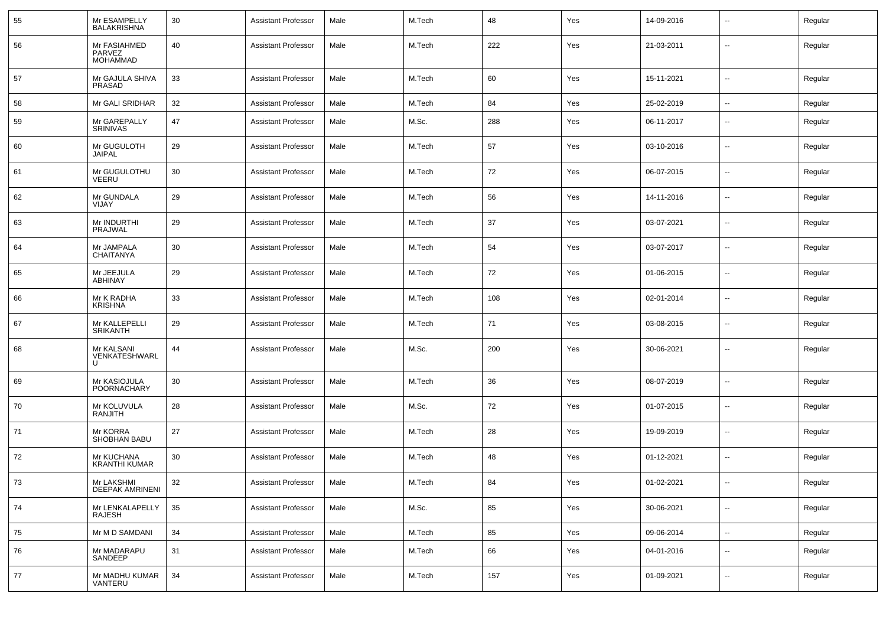| 55   | Mr ESAMPELLY<br><b>BALAKRISHNA</b>        | 30 | <b>Assistant Professor</b> | Male | M.Tech | 48  | Yes | 14-09-2016 | $\overline{\phantom{a}}$ | Regular |
|------|-------------------------------------------|----|----------------------------|------|--------|-----|-----|------------|--------------------------|---------|
| 56   | Mr FASIAHMED<br>PARVEZ<br><b>MOHAMMAD</b> | 40 | <b>Assistant Professor</b> | Male | M.Tech | 222 | Yes | 21-03-2011 | $\overline{\phantom{a}}$ | Regular |
| 57   | Mr GAJULA SHIVA<br>PRASAD                 | 33 | <b>Assistant Professor</b> | Male | M.Tech | 60  | Yes | 15-11-2021 | $\overline{\phantom{a}}$ | Regular |
| 58   | Mr GALI SRIDHAR                           | 32 | <b>Assistant Professor</b> | Male | M.Tech | 84  | Yes | 25-02-2019 | $\overline{\phantom{a}}$ | Regular |
| 59   | Mr GAREPALLY<br>SRINIVAS                  | 47 | <b>Assistant Professor</b> | Male | M.Sc.  | 288 | Yes | 06-11-2017 | $\sim$                   | Regular |
| 60   | Mr GUGULOTH<br><b>JAIPAL</b>              | 29 | <b>Assistant Professor</b> | Male | M.Tech | 57  | Yes | 03-10-2016 | $\overline{\phantom{a}}$ | Regular |
| 61   | Mr GUGULOTHU<br>VEERU                     | 30 | <b>Assistant Professor</b> | Male | M.Tech | 72  | Yes | 06-07-2015 | $\sim$                   | Regular |
| 62   | Mr GUNDALA<br>VIJAY                       | 29 | <b>Assistant Professor</b> | Male | M.Tech | 56  | Yes | 14-11-2016 | $\overline{\phantom{a}}$ | Regular |
| 63   | Mr INDURTHI<br>PRAJWAL                    | 29 | <b>Assistant Professor</b> | Male | M.Tech | 37  | Yes | 03-07-2021 | $\sim$                   | Regular |
| 64   | Mr JAMPALA<br><b>CHAITANYA</b>            | 30 | <b>Assistant Professor</b> | Male | M.Tech | 54  | Yes | 03-07-2017 | $\overline{\phantom{a}}$ | Regular |
| 65   | Mr JEEJULA<br>ABHINAY                     | 29 | <b>Assistant Professor</b> | Male | M.Tech | 72  | Yes | 01-06-2015 | $\sim$                   | Regular |
| 66   | Mr K RADHA<br><b>KRISHNA</b>              | 33 | <b>Assistant Professor</b> | Male | M.Tech | 108 | Yes | 02-01-2014 | $\overline{\phantom{a}}$ | Regular |
| 67   | Mr KALLEPELLI<br><b>SRIKANTH</b>          | 29 | <b>Assistant Professor</b> | Male | M.Tech | 71  | Yes | 03-08-2015 | $\sim$                   | Regular |
| 68   | Mr KALSANI<br>VENKATESHWARL               | 44 | <b>Assistant Professor</b> | Male | M.Sc.  | 200 | Yes | 30-06-2021 | $\overline{\phantom{a}}$ | Regular |
| 69   | Mr KASIOJULA<br>POORNACHARY               | 30 | <b>Assistant Professor</b> | Male | M.Tech | 36  | Yes | 08-07-2019 | $\overline{\phantom{a}}$ | Regular |
| 70   | Mr KOLUVULA<br>RANJITH                    | 28 | <b>Assistant Professor</b> | Male | M.Sc.  | 72  | Yes | 01-07-2015 | $\overline{\phantom{a}}$ | Regular |
| 71   | Mr KORRA<br>SHOBHAN BABU                  | 27 | <b>Assistant Professor</b> | Male | M.Tech | 28  | Yes | 19-09-2019 | $\overline{\phantom{a}}$ | Regular |
| 72   | Mr KUCHANA<br><b>KRANTHI KUMAR</b>        | 30 | <b>Assistant Professor</b> | Male | M.Tech | 48  | Yes | 01-12-2021 | $\overline{\phantom{a}}$ | Regular |
| 73   | Mr LAKSHMI<br><b>DEEPAK AMRINENI</b>      | 32 | Assistant Professor        | Male | M.Tech | 84  | Yes | 01-02-2021 |                          | Regular |
| 74   | Mr LENKALAPELLY<br>RAJESH                 | 35 | <b>Assistant Professor</b> | Male | M.Sc.  | 85  | Yes | 30-06-2021 | $\sim$                   | Regular |
| 75   | Mr M D SAMDANI                            | 34 | <b>Assistant Professor</b> | Male | M.Tech | 85  | Yes | 09-06-2014 | $\sim$                   | Regular |
| 76   | Mr MADARAPU<br>SANDEEP                    | 31 | <b>Assistant Professor</b> | Male | M.Tech | 66  | Yes | 04-01-2016 | $\sim$                   | Regular |
| $77$ | Mr MADHU KUMAR<br>VANTERU                 | 34 | <b>Assistant Professor</b> | Male | M.Tech | 157 | Yes | 01-09-2021 | $\sim$                   | Regular |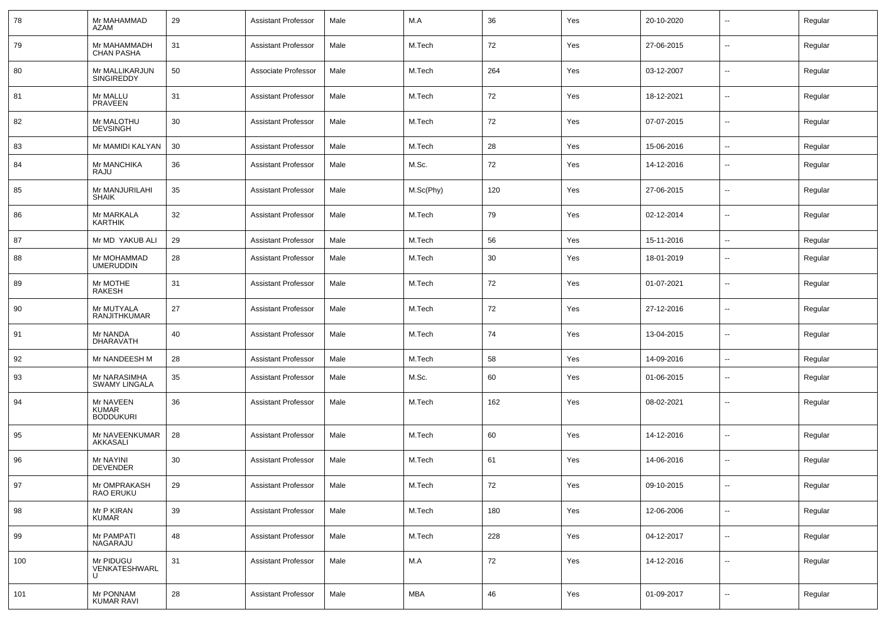| 78  | Mr MAHAMMAD<br><b>AZAM</b>                    | 29 | <b>Assistant Professor</b> | Male | M.A        | 36  | Yes | 20-10-2020 | $\overline{\phantom{a}}$ | Regular |
|-----|-----------------------------------------------|----|----------------------------|------|------------|-----|-----|------------|--------------------------|---------|
| 79  | Mr MAHAMMADH<br><b>CHAN PASHA</b>             | 31 | <b>Assistant Professor</b> | Male | M.Tech     | 72  | Yes | 27-06-2015 | $\sim$                   | Regular |
| 80  | Mr MALLIKARJUN<br>SINGIREDDY                  | 50 | Associate Professor        | Male | M.Tech     | 264 | Yes | 03-12-2007 | $\overline{\phantom{a}}$ | Regular |
| 81  | Mr MALLU<br><b>PRAVEEN</b>                    | 31 | <b>Assistant Professor</b> | Male | M.Tech     | 72  | Yes | 18-12-2021 | $\sim$                   | Regular |
| 82  | Mr MALOTHU<br><b>DEVSINGH</b>                 | 30 | <b>Assistant Professor</b> | Male | M.Tech     | 72  | Yes | 07-07-2015 | $\overline{\phantom{a}}$ | Regular |
| 83  | Mr MAMIDI KALYAN                              | 30 | <b>Assistant Professor</b> | Male | M.Tech     | 28  | Yes | 15-06-2016 | $\sim$                   | Regular |
| 84  | Mr MANCHIKA<br>RAJU                           | 36 | <b>Assistant Professor</b> | Male | M.Sc.      | 72  | Yes | 14-12-2016 | --                       | Regular |
| 85  | Mr MANJURILAHI<br><b>SHAIK</b>                | 35 | <b>Assistant Professor</b> | Male | M.Sc(Phy)  | 120 | Yes | 27-06-2015 | --                       | Regular |
| 86  | Mr MARKALA<br><b>KARTHIK</b>                  | 32 | <b>Assistant Professor</b> | Male | M.Tech     | 79  | Yes | 02-12-2014 | --                       | Regular |
| 87  | Mr MD YAKUB ALI                               | 29 | <b>Assistant Professor</b> | Male | M.Tech     | 56  | Yes | 15-11-2016 | Ξ.                       | Regular |
| 88  | Mr MOHAMMAD<br><b>UMERUDDIN</b>               | 28 | <b>Assistant Professor</b> | Male | M.Tech     | 30  | Yes | 18-01-2019 | --                       | Regular |
| 89  | Mr MOTHE<br>RAKESH                            | 31 | <b>Assistant Professor</b> | Male | M.Tech     | 72  | Yes | 01-07-2021 | $\sim$                   | Regular |
| 90  | Mr MUTYALA<br><b>RANJITHKUMAR</b>             | 27 | <b>Assistant Professor</b> | Male | M.Tech     | 72  | Yes | 27-12-2016 | Ξ.                       | Regular |
| 91  | Mr NANDA<br><b>DHARAVATH</b>                  | 40 | <b>Assistant Professor</b> | Male | M.Tech     | 74  | Yes | 13-04-2015 | Ξ.                       | Regular |
| 92  | Mr NANDEESH M                                 | 28 | <b>Assistant Professor</b> | Male | M.Tech     | 58  | Yes | 14-09-2016 | $\sim$                   | Regular |
| 93  | Mr NARASIMHA<br><b>SWAMY LINGALA</b>          | 35 | <b>Assistant Professor</b> | Male | M.Sc.      | 60  | Yes | 01-06-2015 | --                       | Regular |
| 94  | Mr NAVEEN<br><b>KUMAR</b><br><b>BODDUKURI</b> | 36 | <b>Assistant Professor</b> | Male | M.Tech     | 162 | Yes | 08-02-2021 | --                       | Regular |
| 95  | Mr NAVEENKUMAR<br>AKKASALI                    | 28 | <b>Assistant Professor</b> | Male | M.Tech     | 60  | Yes | 14-12-2016 | --                       | Regular |
| 96  | Mr NAYINI<br><b>DEVENDER</b>                  | 30 | <b>Assistant Professor</b> | Male | M.Tech     | 61  | Yes | 14-06-2016 | $\sim$                   | Regular |
| 97  | Mr OMPRAKASH<br>RAO ERUKU                     | 29 | <b>Assistant Professor</b> | Male | M.Tech     | 72  | Yes | 09-10-2015 | $\overline{\phantom{a}}$ | Regular |
| 98  | Mr P KIRAN<br><b>KUMAR</b>                    | 39 | <b>Assistant Professor</b> | Male | M.Tech     | 180 | Yes | 12-06-2006 | ÷.                       | Regular |
| 99  | Mr PAMPATI<br>NAGARAJU                        | 48 | <b>Assistant Professor</b> | Male | M.Tech     | 228 | Yes | 04-12-2017 | Ξ.                       | Regular |
| 100 | Mr PIDUGU<br>VENKATESHWARL<br>U               | 31 | <b>Assistant Professor</b> | Male | M.A        | 72  | Yes | 14-12-2016 | $\overline{\phantom{a}}$ | Regular |
| 101 | Mr PONNAM<br>KUMAR RAVI                       | 28 | <b>Assistant Professor</b> | Male | <b>MBA</b> | 46  | Yes | 01-09-2017 | --                       | Regular |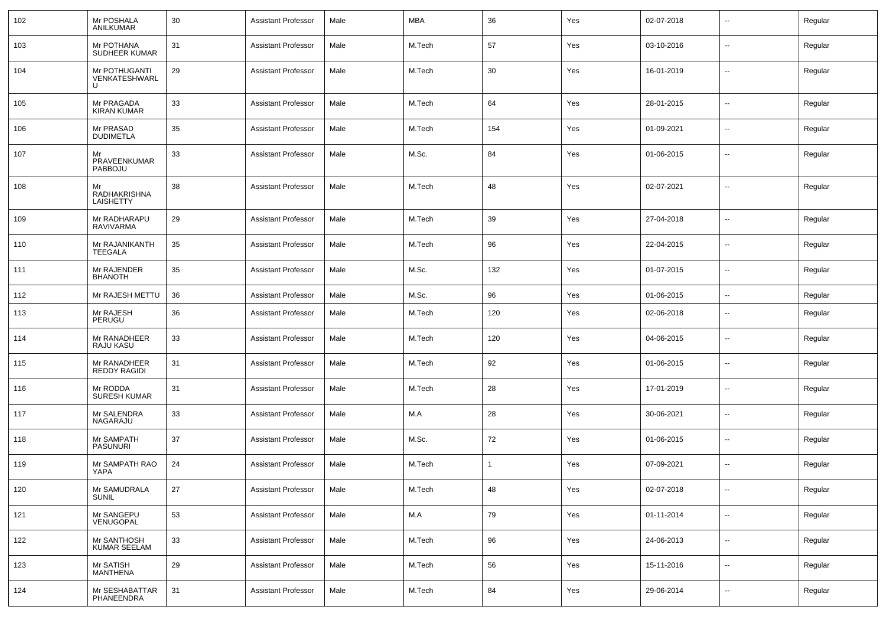| 102 | Mr POSHALA<br>ANILKUMAR                | 30 | <b>Assistant Professor</b> | Male | <b>MBA</b> | 36          | Yes | 02-07-2018 | $\overline{\phantom{a}}$ | Regular |
|-----|----------------------------------------|----|----------------------------|------|------------|-------------|-----|------------|--------------------------|---------|
| 103 | Mr POTHANA<br>SUDHEER KUMAR            | 31 | <b>Assistant Professor</b> | Male | M.Tech     | 57          | Yes | 03-10-2016 | $\overline{\phantom{a}}$ | Regular |
| 104 | Mr POTHUGANTI<br>VENKATESHWARL<br>U    | 29 | <b>Assistant Professor</b> | Male | M.Tech     | 30          | Yes | 16-01-2019 | $\overline{\phantom{a}}$ | Regular |
| 105 | Mr PRAGADA<br><b>KIRAN KUMAR</b>       | 33 | <b>Assistant Professor</b> | Male | M.Tech     | 64          | Yes | 28-01-2015 | $\mathbf{u}$             | Regular |
| 106 | Mr PRASAD<br><b>DUDIMETLA</b>          | 35 | <b>Assistant Professor</b> | Male | M.Tech     | 154         | Yes | 01-09-2021 | $\mathbf{u}$             | Regular |
| 107 | Mr<br>PRAVEENKUMAR<br>PABBOJU          | 33 | <b>Assistant Professor</b> | Male | M.Sc.      | 84          | Yes | 01-06-2015 | $\mathbf{u}$             | Regular |
| 108 | Mr<br>RADHAKRISHNA<br><b>LAISHETTY</b> | 38 | <b>Assistant Professor</b> | Male | M.Tech     | 48          | Yes | 02-07-2021 | $\overline{\phantom{a}}$ | Regular |
| 109 | Mr RADHARAPU<br><b>RAVIVARMA</b>       | 29 | <b>Assistant Professor</b> | Male | M.Tech     | 39          | Yes | 27-04-2018 | $\overline{\phantom{a}}$ | Regular |
| 110 | Mr RAJANIKANTH<br><b>TEEGALA</b>       | 35 | <b>Assistant Professor</b> | Male | M.Tech     | 96          | Yes | 22-04-2015 | $\overline{\phantom{a}}$ | Regular |
| 111 | Mr RAJENDER<br><b>BHANOTH</b>          | 35 | <b>Assistant Professor</b> | Male | M.Sc.      | 132         | Yes | 01-07-2015 | $\overline{\phantom{a}}$ | Regular |
| 112 | Mr RAJESH METTU                        | 36 | <b>Assistant Professor</b> | Male | M.Sc.      | 96          | Yes | 01-06-2015 | $\overline{\phantom{a}}$ | Regular |
| 113 | Mr RAJESH<br>PERUGU                    | 36 | <b>Assistant Professor</b> | Male | M.Tech     | 120         | Yes | 02-06-2018 | $\overline{\phantom{a}}$ | Regular |
| 114 | Mr RANADHEER<br>RAJU KASU              | 33 | <b>Assistant Professor</b> | Male | M.Tech     | 120         | Yes | 04-06-2015 | $\overline{\phantom{a}}$ | Regular |
| 115 | Mr RANADHEER<br><b>REDDY RAGIDI</b>    | 31 | Assistant Professor        | Male | M.Tech     | 92          | Yes | 01-06-2015 | $\overline{\phantom{a}}$ | Regular |
| 116 | Mr RODDA<br><b>SURESH KUMAR</b>        | 31 | <b>Assistant Professor</b> | Male | M.Tech     | 28          | Yes | 17-01-2019 | $\overline{\phantom{a}}$ | Regular |
| 117 | Mr SALENDRA<br>NAGARAJU                | 33 | Assistant Professor        | Male | M.A        | 28          | Yes | 30-06-2021 | $\overline{\phantom{a}}$ | Regular |
| 118 | Mr SAMPATH<br><b>PASUNURI</b>          | 37 | <b>Assistant Professor</b> | Male | M.Sc.      | 72          | Yes | 01-06-2015 | $\overline{\phantom{a}}$ | Regular |
| 119 | Mr SAMPATH RAO<br>YAPA                 | 24 | <b>Assistant Professor</b> | Male | M.Tech     | $\mathbf 1$ | Yes | 07-09-2021 | $\overline{\phantom{a}}$ | Regular |
| 120 | Mr SAMUDRALA<br>SUNIL                  | 27 | Assistant Professor        | Male | M.Tech     | 48          | Yes | 02-07-2018 | $\overline{\phantom{a}}$ | Regular |
| 121 | Mr SANGEPU<br>VENUGOPAL                | 53 | <b>Assistant Professor</b> | Male | M.A        | 79          | Yes | 01-11-2014 | $\overline{\phantom{a}}$ | Regular |
| 122 | Mr SANTHOSH<br>KUMAR SEELAM            | 33 | <b>Assistant Professor</b> | Male | M.Tech     | 96          | Yes | 24-06-2013 | $\overline{\phantom{a}}$ | Regular |
| 123 | Mr SATISH<br>MANTHENA                  | 29 | <b>Assistant Professor</b> | Male | M.Tech     | 56          | Yes | 15-11-2016 | $\overline{\phantom{a}}$ | Regular |
| 124 | Mr SESHABATTAR<br>PHANEENDRA           | 31 | <b>Assistant Professor</b> | Male | M.Tech     | 84          | Yes | 29-06-2014 | ۰.                       | Regular |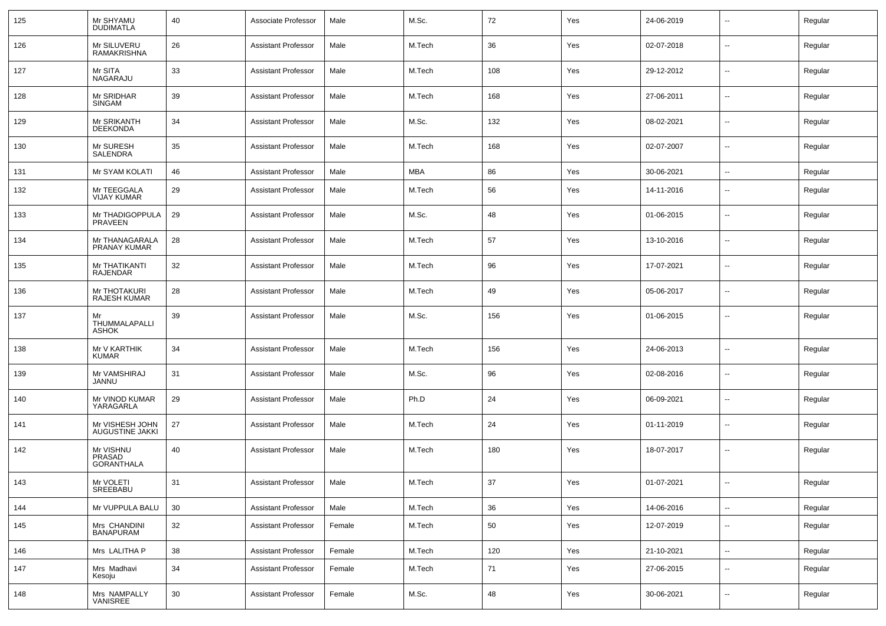| 125 | Mr SHYAMU<br><b>DUDIMATLA</b>            | 40     | Associate Professor        | Male   | M.Sc.  | 72     | Yes | 24-06-2019 | $\sim$                   | Regular |
|-----|------------------------------------------|--------|----------------------------|--------|--------|--------|-----|------------|--------------------------|---------|
| 126 | Mr SILUVERU<br><b>RAMAKRISHNA</b>        | 26     | <b>Assistant Professor</b> | Male   | M.Tech | 36     | Yes | 02-07-2018 | $\sim$                   | Regular |
| 127 | Mr SITA<br>NAGARAJU                      | 33     | <b>Assistant Professor</b> | Male   | M.Tech | 108    | Yes | 29-12-2012 | $\sim$                   | Regular |
| 128 | Mr SRIDHAR<br>SINGAM                     | 39     | Assistant Professor        | Male   | M.Tech | 168    | Yes | 27-06-2011 | $\sim$                   | Regular |
| 129 | Mr SRIKANTH<br><b>DEEKONDA</b>           | 34     | <b>Assistant Professor</b> | Male   | M.Sc.  | 132    | Yes | 08-02-2021 | $\sim$                   | Regular |
| 130 | Mr SURESH<br>SALENDRA                    | 35     | <b>Assistant Professor</b> | Male   | M.Tech | 168    | Yes | 02-07-2007 | $\sim$                   | Regular |
| 131 | Mr SYAM KOLATI                           | 46     | <b>Assistant Professor</b> | Male   | MBA    | 86     | Yes | 30-06-2021 | $\sim$                   | Regular |
| 132 | Mr TEEGGALA<br><b>VIJAY KUMAR</b>        | 29     | <b>Assistant Professor</b> | Male   | M.Tech | 56     | Yes | 14-11-2016 | $\overline{\phantom{a}}$ | Regular |
| 133 | Mr THADIGOPPULA<br><b>PRAVEEN</b>        | 29     | Assistant Professor        | Male   | M.Sc.  | 48     | Yes | 01-06-2015 | --                       | Regular |
| 134 | Mr THANAGARALA<br>PRANAY KUMAR           | 28     | <b>Assistant Professor</b> | Male   | M.Tech | 57     | Yes | 13-10-2016 | --                       | Regular |
| 135 | Mr THATIKANTI<br><b>RAJENDAR</b>         | 32     | <b>Assistant Professor</b> | Male   | M.Tech | 96     | Yes | 17-07-2021 | --                       | Regular |
| 136 | Mr THOTAKURI<br><b>RAJESH KUMAR</b>      | 28     | <b>Assistant Professor</b> | Male   | M.Tech | 49     | Yes | 05-06-2017 | $\overline{\phantom{a}}$ | Regular |
| 137 | Mr<br>THUMMALAPALLI<br><b>ASHOK</b>      | 39     | <b>Assistant Professor</b> | Male   | M.Sc.  | 156    | Yes | 01-06-2015 | --                       | Regular |
| 138 | Mr V KARTHIK<br><b>KUMAR</b>             | 34     | Assistant Professor        | Male   | M.Tech | 156    | Yes | 24-06-2013 | $\sim$                   | Regular |
| 139 | Mr VAMSHIRAJ<br>JANNU                    | 31     | <b>Assistant Professor</b> | Male   | M.Sc.  | 96     | Yes | 02-08-2016 | $\overline{\phantom{a}}$ | Regular |
| 140 | Mr VINOD KUMAR<br>YARAGARLA              | 29     | <b>Assistant Professor</b> | Male   | Ph.D   | 24     | Yes | 06-09-2021 | $\sim$                   | Regular |
| 141 | Mr VISHESH JOHN<br>AUGUSTINE JAKKI       | 27     | <b>Assistant Professor</b> | Male   | M.Tech | 24     | Yes | 01-11-2019 | $\sim$                   | Regular |
| 142 | Mr VISHNU<br>PRASAD<br><b>GORANTHALA</b> | 40     | <b>Assistant Professor</b> | Male   | M.Tech | 180    | Yes | 18-07-2017 | $\sim$                   | Regular |
| 143 | Mr VOLETI<br>SREEBABU                    | 31     | Assistant Professor        | Male   | M.Tech | $37\,$ | Yes | 01-07-2021 |                          | Regular |
| 144 | Mr VUPPULA BALU                          | 30     | Assistant Professor        | Male   | M.Tech | 36     | Yes | 14-06-2016 | $\sim$                   | Regular |
| 145 | Mrs CHANDINI<br><b>BANAPURAM</b>         | 32     | <b>Assistant Professor</b> | Female | M.Tech | 50     | Yes | 12-07-2019 | $\sim$                   | Regular |
| 146 | Mrs LALITHA P                            | 38     | Assistant Professor        | Female | M.Tech | 120    | Yes | 21-10-2021 | $\sim$                   | Regular |
| 147 | Mrs Madhavi<br>Kesoju                    | 34     | <b>Assistant Professor</b> | Female | M.Tech | 71     | Yes | 27-06-2015 | $\sim$                   | Regular |
| 148 | Mrs NAMPALLY<br>VANISREE                 | $30\,$ | <b>Assistant Professor</b> | Female | M.Sc.  | 48     | Yes | 30-06-2021 | $\sim$                   | Regular |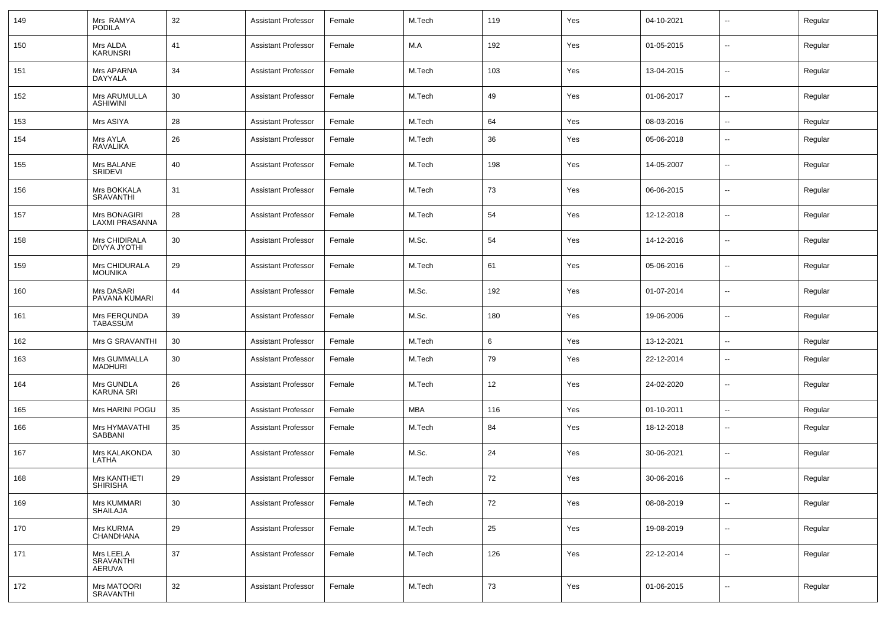| 149 | Mrs RAMYA<br><b>PODILA</b>            | 32     | <b>Assistant Professor</b> | Female | M.Tech | 119 | Yes | 04-10-2021 |                          | Regular |
|-----|---------------------------------------|--------|----------------------------|--------|--------|-----|-----|------------|--------------------------|---------|
| 150 | Mrs ALDA<br><b>KARUNSRI</b>           | 41     | <b>Assistant Professor</b> | Female | M.A    | 192 | Yes | 01-05-2015 | $\overline{\phantom{a}}$ | Regular |
| 151 | Mrs APARNA<br>DAYYALA                 | 34     | <b>Assistant Professor</b> | Female | M.Tech | 103 | Yes | 13-04-2015 | ⊷.                       | Regular |
| 152 | Mrs ARUMULLA<br>ASHIWINI              | 30     | <b>Assistant Professor</b> | Female | M.Tech | 49  | Yes | 01-06-2017 | ⊷.                       | Regular |
| 153 | Mrs ASIYA                             | 28     | <b>Assistant Professor</b> | Female | M.Tech | 64  | Yes | 08-03-2016 | н.                       | Regular |
| 154 | Mrs AYLA<br>RAVALIKA                  | 26     | <b>Assistant Professor</b> | Female | M.Tech | 36  | Yes | 05-06-2018 | $\overline{\phantom{a}}$ | Regular |
| 155 | Mrs BALANE<br>SRIDEVI                 | 40     | <b>Assistant Professor</b> | Female | M.Tech | 198 | Yes | 14-05-2007 | --                       | Regular |
| 156 | Mrs BOKKALA<br><b>SRAVANTHI</b>       | 31     | <b>Assistant Professor</b> | Female | M.Tech | 73  | Yes | 06-06-2015 | $\overline{a}$           | Regular |
| 157 | Mrs BONAGIRI<br><b>LAXMI PRASANNA</b> | 28     | <b>Assistant Professor</b> | Female | M.Tech | 54  | Yes | 12-12-2018 | $\overline{\phantom{a}}$ | Regular |
| 158 | Mrs CHIDIRALA<br><b>DIVYA JYOTHI</b>  | 30     | <b>Assistant Professor</b> | Female | M.Sc.  | 54  | Yes | 14-12-2016 | --                       | Regular |
| 159 | Mrs CHIDURALA<br><b>MOUNIKA</b>       | 29     | <b>Assistant Professor</b> | Female | M.Tech | 61  | Yes | 05-06-2016 | --                       | Regular |
| 160 | Mrs DASARI<br>PAVANA KUMARI           | 44     | <b>Assistant Professor</b> | Female | M.Sc.  | 192 | Yes | 01-07-2014 | --                       | Regular |
| 161 | Mrs FERQUNDA<br><b>TABASSUM</b>       | 39     | <b>Assistant Professor</b> | Female | M.Sc.  | 180 | Yes | 19-06-2006 | --                       | Regular |
| 162 | Mrs G SRAVANTHI                       | 30     | <b>Assistant Professor</b> | Female | M.Tech | 6   | Yes | 13-12-2021 | $\overline{\phantom{a}}$ | Regular |
| 163 | Mrs GUMMALLA<br>MADHURI               | 30     | <b>Assistant Professor</b> | Female | M.Tech | 79  | Yes | 22-12-2014 | $\overline{\phantom{a}}$ | Regular |
| 164 | Mrs GUNDLA<br><b>KARUNA SRI</b>       | 26     | <b>Assistant Professor</b> | Female | M.Tech | 12  | Yes | 24-02-2020 | --                       | Regular |
| 165 | Mrs HARINI POGU                       | 35     | <b>Assistant Professor</b> | Female | MBA    | 116 | Yes | 01-10-2011 | $\overline{\phantom{a}}$ | Regular |
| 166 | Mrs HYMAVATHI<br>SABBANI              | 35     | <b>Assistant Professor</b> | Female | M.Tech | 84  | Yes | 18-12-2018 | --                       | Regular |
| 167 | Mrs KALAKONDA<br>LATHA                | 30     | <b>Assistant Professor</b> | Female | M.Sc.  | 24  | Yes | 30-06-2021 | --                       | Regular |
| 168 | Mrs KANTHETI<br>SHIRISHA              | 29     | <b>Assistant Professor</b> | Female | M.Tech | 72  | Yes | 30-06-2016 |                          | Regular |
| 169 | Mrs KUMMARI<br>SHAILAJA               | 30     | <b>Assistant Professor</b> | Female | M.Tech | 72  | Yes | 08-08-2019 | -−                       | Regular |
| 170 | Mrs KURMA<br>CHANDHANA                | 29     | <b>Assistant Professor</b> | Female | M.Tech | 25  | Yes | 19-08-2019 | Щ,                       | Regular |
| 171 | Mrs LEELA<br>SRAVANTHI<br>AERUVA      | $37\,$ | <b>Assistant Professor</b> | Female | M.Tech | 126 | Yes | 22-12-2014 | ш,                       | Regular |
| 172 | Mrs MATOORI<br>SRAVANTHI              | 32     | <b>Assistant Professor</b> | Female | M.Tech | 73  | Yes | 01-06-2015 | $\overline{\phantom{a}}$ | Regular |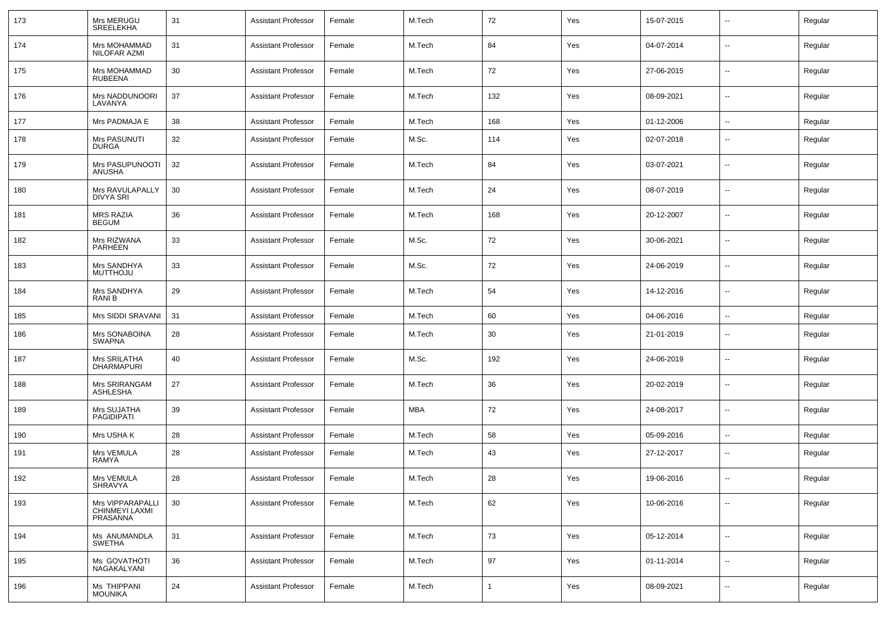| 173 | Mrs MERUGU<br>SREELEKHA                        | 31 | <b>Assistant Professor</b> | Female | M.Tech     | 72  | Yes | 15-07-2015 | $\sim$                   | Regular |
|-----|------------------------------------------------|----|----------------------------|--------|------------|-----|-----|------------|--------------------------|---------|
| 174 | Mrs MOHAMMAD<br>NILOFAR AZMI                   | 31 | <b>Assistant Professor</b> | Female | M.Tech     | 84  | Yes | 04-07-2014 | $\sim$                   | Regular |
| 175 | Mrs MOHAMMAD<br><b>RUBEENA</b>                 | 30 | <b>Assistant Professor</b> | Female | M.Tech     | 72  | Yes | 27-06-2015 | $\sim$                   | Regular |
| 176 | Mrs NADDUNOORI<br>LAVANYA                      | 37 | <b>Assistant Professor</b> | Female | M.Tech     | 132 | Yes | 08-09-2021 | $\sim$                   | Regular |
| 177 | Mrs PADMAJA E                                  | 38 | <b>Assistant Professor</b> | Female | M.Tech     | 168 | Yes | 01-12-2006 | $\sim$                   | Regular |
| 178 | Mrs PASUNUTI<br>DURGA                          | 32 | <b>Assistant Professor</b> | Female | M.Sc.      | 114 | Yes | 02-07-2018 | $\overline{\phantom{a}}$ | Regular |
| 179 | Mrs PASUPUNOOTI<br>ANUSHA                      | 32 | <b>Assistant Professor</b> | Female | M.Tech     | 84  | Yes | 03-07-2021 | $\sim$                   | Regular |
| 180 | Mrs RAVULAPALLY<br><b>DIVYA SRI</b>            | 30 | <b>Assistant Professor</b> | Female | M.Tech     | 24  | Yes | 08-07-2019 | $\overline{\phantom{a}}$ | Regular |
| 181 | MRS RAZIA<br><b>BEGUM</b>                      | 36 | <b>Assistant Professor</b> | Female | M.Tech     | 168 | Yes | 20-12-2007 | $\overline{\phantom{a}}$ | Regular |
| 182 | Mrs RIZWANA<br>PARHEEN                         | 33 | <b>Assistant Professor</b> | Female | M.Sc.      | 72  | Yes | 30-06-2021 | $\sim$                   | Regular |
| 183 | Mrs SANDHYA<br><b>MUTTHOJU</b>                 | 33 | <b>Assistant Professor</b> | Female | M.Sc.      | 72  | Yes | 24-06-2019 | $\overline{\phantom{a}}$ | Regular |
| 184 | Mrs SANDHYA<br>RANI B                          | 29 | <b>Assistant Professor</b> | Female | M.Tech     | 54  | Yes | 14-12-2016 | $\sim$                   | Regular |
| 185 | Mrs SIDDI SRAVANI                              | 31 | <b>Assistant Professor</b> | Female | M.Tech     | 60  | Yes | 04-06-2016 | $\overline{\phantom{a}}$ | Regular |
| 186 | Mrs SONABOINA<br>SWAPNA                        | 28 | <b>Assistant Professor</b> | Female | M.Tech     | 30  | Yes | 21-01-2019 | $\overline{\phantom{a}}$ | Regular |
| 187 | Mrs SRILATHA<br><b>DHARMAPURI</b>              | 40 | <b>Assistant Professor</b> | Female | M.Sc.      | 192 | Yes | 24-06-2019 | $\sim$                   | Regular |
| 188 | Mrs SRIRANGAM<br><b>ASHLESHA</b>               | 27 | <b>Assistant Professor</b> | Female | M.Tech     | 36  | Yes | 20-02-2019 | $\overline{\phantom{a}}$ | Regular |
| 189 | Mrs SUJATHA<br>PAGIDIPATI                      | 39 | <b>Assistant Professor</b> | Female | <b>MBA</b> | 72  | Yes | 24-08-2017 | $\overline{\phantom{a}}$ | Regular |
| 190 | Mrs USHA K                                     | 28 | <b>Assistant Professor</b> | Female | M.Tech     | 58  | Yes | 05-09-2016 | --                       | Regular |
| 191 | Mrs VEMULA<br>RAMYA                            | 28 | <b>Assistant Professor</b> | Female | M.Tech     | 43  | Yes | 27-12-2017 | $\overline{\phantom{a}}$ | Regular |
| 192 | Mrs VEMULA<br>SHRAVYA                          | 28 | <b>Assistant Professor</b> | Female | M.Tech     | 28  | Yes | 19-06-2016 |                          | Regular |
| 193 | Mrs VIPPARAPALLI<br>CHINMEYI LAXMI<br>PRASANNA | 30 | <b>Assistant Professor</b> | Female | M.Tech     | 62  | Yes | 10-06-2016 | $\overline{\phantom{a}}$ | Regular |
| 194 | Ms ANUMANDLA<br>SWETHA                         | 31 | <b>Assistant Professor</b> | Female | M.Tech     | 73  | Yes | 05-12-2014 | $\overline{\phantom{a}}$ | Regular |
| 195 | Ms GOVATHOTI<br>NAGAKALYANI                    | 36 | Assistant Professor        | Female | M.Tech     | 97  | Yes | 01-11-2014 | $\overline{\phantom{a}}$ | Regular |
| 196 | Ms THIPPANI<br><b>MOUNIKA</b>                  | 24 | <b>Assistant Professor</b> | Female | M.Tech     | 1   | Yes | 08-09-2021 | $\overline{\phantom{a}}$ | Regular |